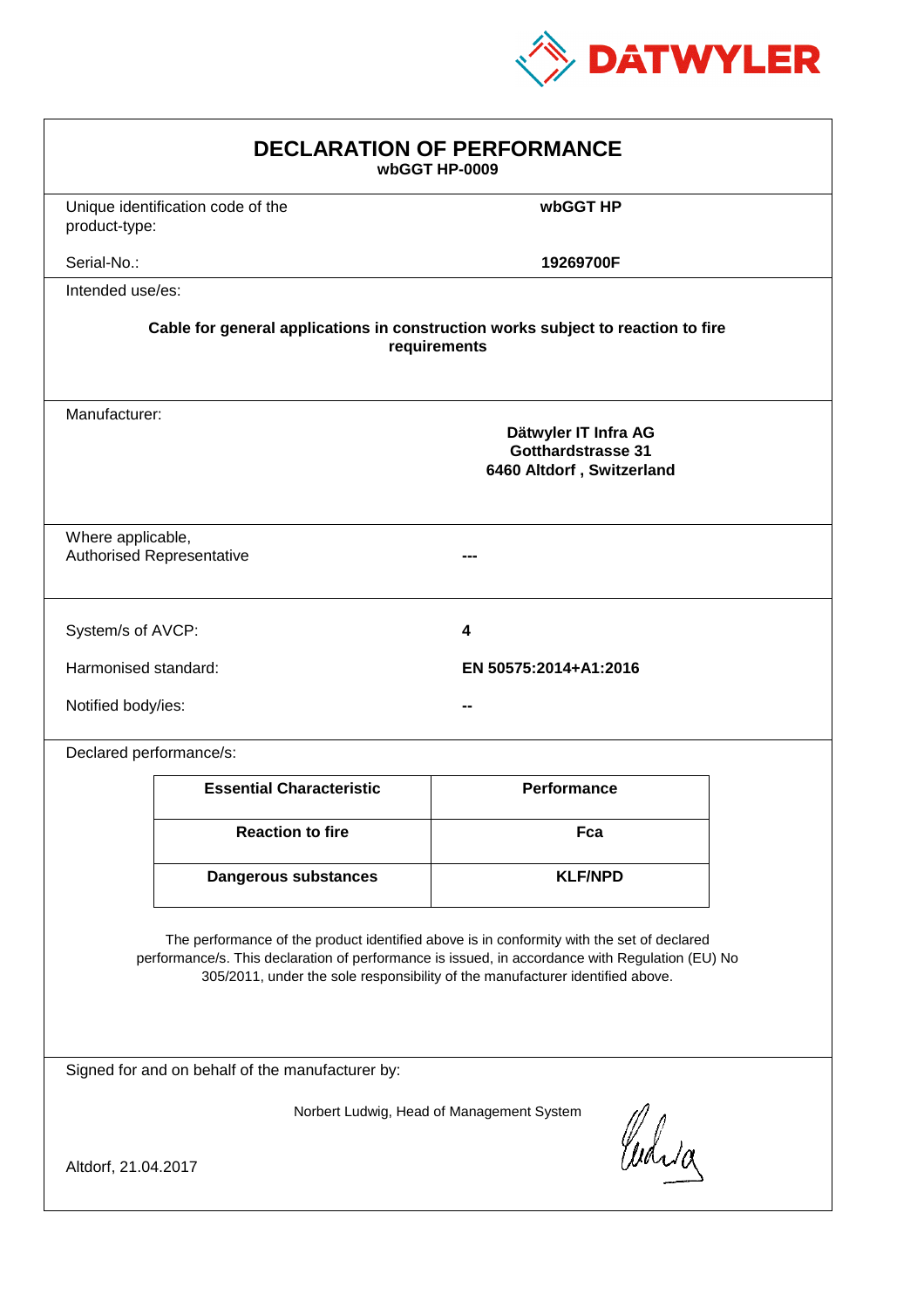

| <b>DECLARATION OF PERFORMANCE</b><br>wbGGT HP-0009                                                                                                                                                                                                                            |  |  |  |
|-------------------------------------------------------------------------------------------------------------------------------------------------------------------------------------------------------------------------------------------------------------------------------|--|--|--|
| Unique identification code of the<br>wbGGT HP<br>product-type:                                                                                                                                                                                                                |  |  |  |
| Serial-No.:<br>19269700F                                                                                                                                                                                                                                                      |  |  |  |
| Intended use/es:                                                                                                                                                                                                                                                              |  |  |  |
| Cable for general applications in construction works subject to reaction to fire<br>requirements                                                                                                                                                                              |  |  |  |
| Manufacturer:<br>Dätwyler IT Infra AG<br>Gotthardstrasse 31<br>6460 Altdorf, Switzerland                                                                                                                                                                                      |  |  |  |
| Where applicable,<br><b>Authorised Representative</b>                                                                                                                                                                                                                         |  |  |  |
| System/s of AVCP:<br>4                                                                                                                                                                                                                                                        |  |  |  |
| Harmonised standard:<br>EN 50575:2014+A1:2016                                                                                                                                                                                                                                 |  |  |  |
| Notified body/ies:                                                                                                                                                                                                                                                            |  |  |  |
| Declared performance/s:                                                                                                                                                                                                                                                       |  |  |  |
| <b>Performance</b><br><b>Essential Characteristic</b>                                                                                                                                                                                                                         |  |  |  |
| <b>Reaction to fire</b><br>Fca                                                                                                                                                                                                                                                |  |  |  |
| <b>KLF/NPD</b><br><b>Dangerous substances</b>                                                                                                                                                                                                                                 |  |  |  |
| The performance of the product identified above is in conformity with the set of declared<br>performance/s. This declaration of performance is issued, in accordance with Regulation (EU) No<br>305/2011, under the sole responsibility of the manufacturer identified above. |  |  |  |
| Signed for and on behalf of the manufacturer by:                                                                                                                                                                                                                              |  |  |  |
| Norbert Ludwig, Head of Management System<br>Curia<br>Altdorf, 21.04.2017                                                                                                                                                                                                     |  |  |  |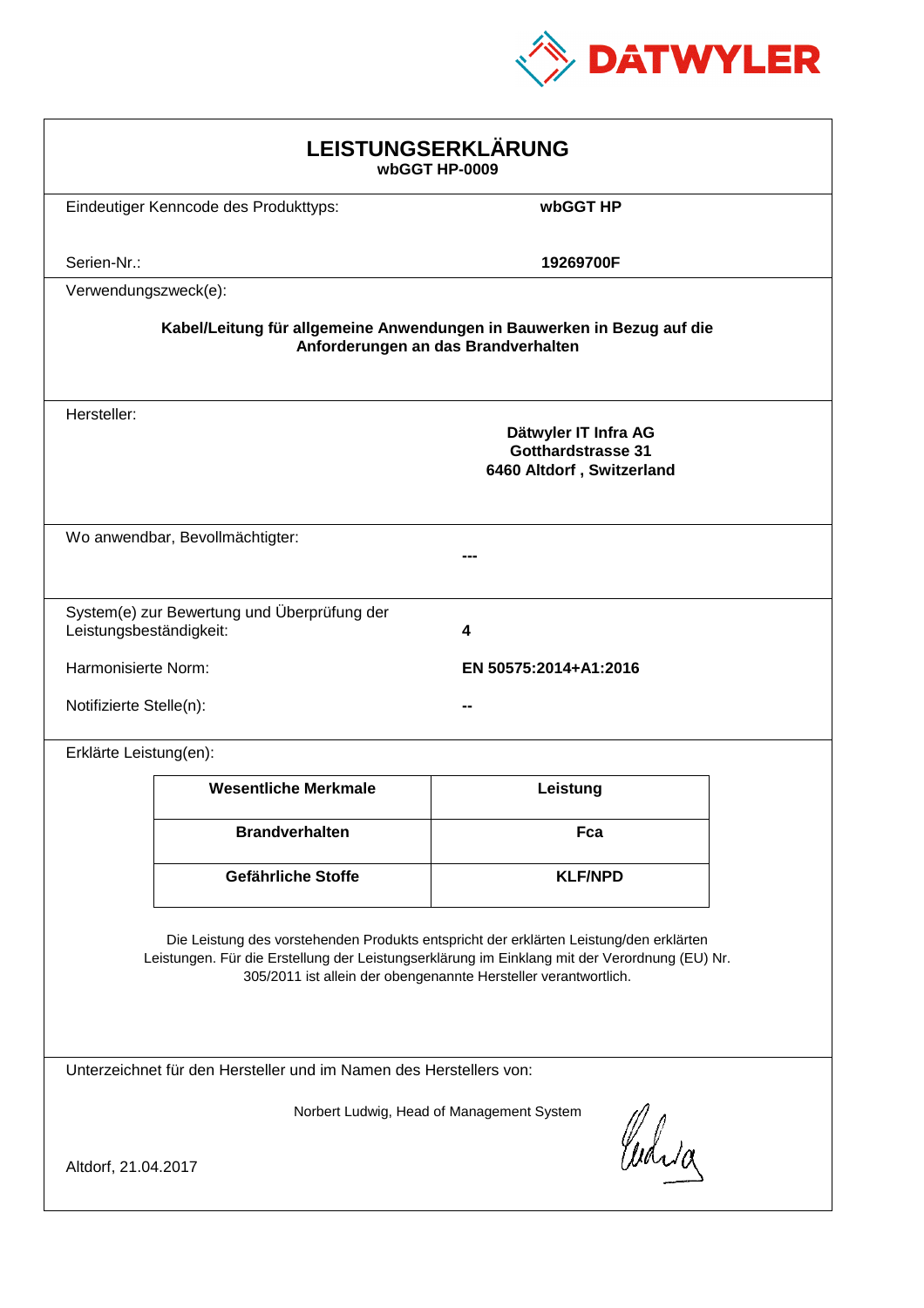

| LEISTUNGSERKLÄRUNG<br>wbGGT HP-0009                                                                                                                                                                                                                        |                                                                        |                                                                                |  |
|------------------------------------------------------------------------------------------------------------------------------------------------------------------------------------------------------------------------------------------------------------|------------------------------------------------------------------------|--------------------------------------------------------------------------------|--|
|                                                                                                                                                                                                                                                            | Eindeutiger Kenncode des Produkttyps:                                  | wbGGT HP                                                                       |  |
| Serien-Nr.:                                                                                                                                                                                                                                                |                                                                        | 19269700F                                                                      |  |
| Verwendungszweck(e):                                                                                                                                                                                                                                       |                                                                        |                                                                                |  |
|                                                                                                                                                                                                                                                            | Kabel/Leitung für allgemeine Anwendungen in Bauwerken in Bezug auf die | Anforderungen an das Brandverhalten                                            |  |
| Hersteller:                                                                                                                                                                                                                                                |                                                                        | Dätwyler IT Infra AG<br><b>Gotthardstrasse 31</b><br>6460 Altdorf, Switzerland |  |
|                                                                                                                                                                                                                                                            | Wo anwendbar, Bevollmächtigter:                                        |                                                                                |  |
| Leistungsbeständigkeit:                                                                                                                                                                                                                                    | System(e) zur Bewertung und Überprüfung der                            | 4                                                                              |  |
| Harmonisierte Norm:                                                                                                                                                                                                                                        |                                                                        | EN 50575:2014+A1:2016                                                          |  |
| Notifizierte Stelle(n):                                                                                                                                                                                                                                    |                                                                        |                                                                                |  |
| Erklärte Leistung(en):                                                                                                                                                                                                                                     |                                                                        |                                                                                |  |
|                                                                                                                                                                                                                                                            | <b>Wesentliche Merkmale</b>                                            | Leistung                                                                       |  |
|                                                                                                                                                                                                                                                            | <b>Brandverhalten</b>                                                  | Fca                                                                            |  |
|                                                                                                                                                                                                                                                            | Gefährliche Stoffe                                                     | <b>KLF/NPD</b>                                                                 |  |
| Die Leistung des vorstehenden Produkts entspricht der erklärten Leistung/den erklärten<br>Leistungen. Für die Erstellung der Leistungserklärung im Einklang mit der Verordnung (EU) Nr.<br>305/2011 ist allein der obengenannte Hersteller verantwortlich. |                                                                        |                                                                                |  |
| Unterzeichnet für den Hersteller und im Namen des Herstellers von:                                                                                                                                                                                         |                                                                        |                                                                                |  |
| Norbert Ludwig, Head of Management System<br>Curia                                                                                                                                                                                                         |                                                                        |                                                                                |  |
| Altdorf, 21.04.2017                                                                                                                                                                                                                                        |                                                                        |                                                                                |  |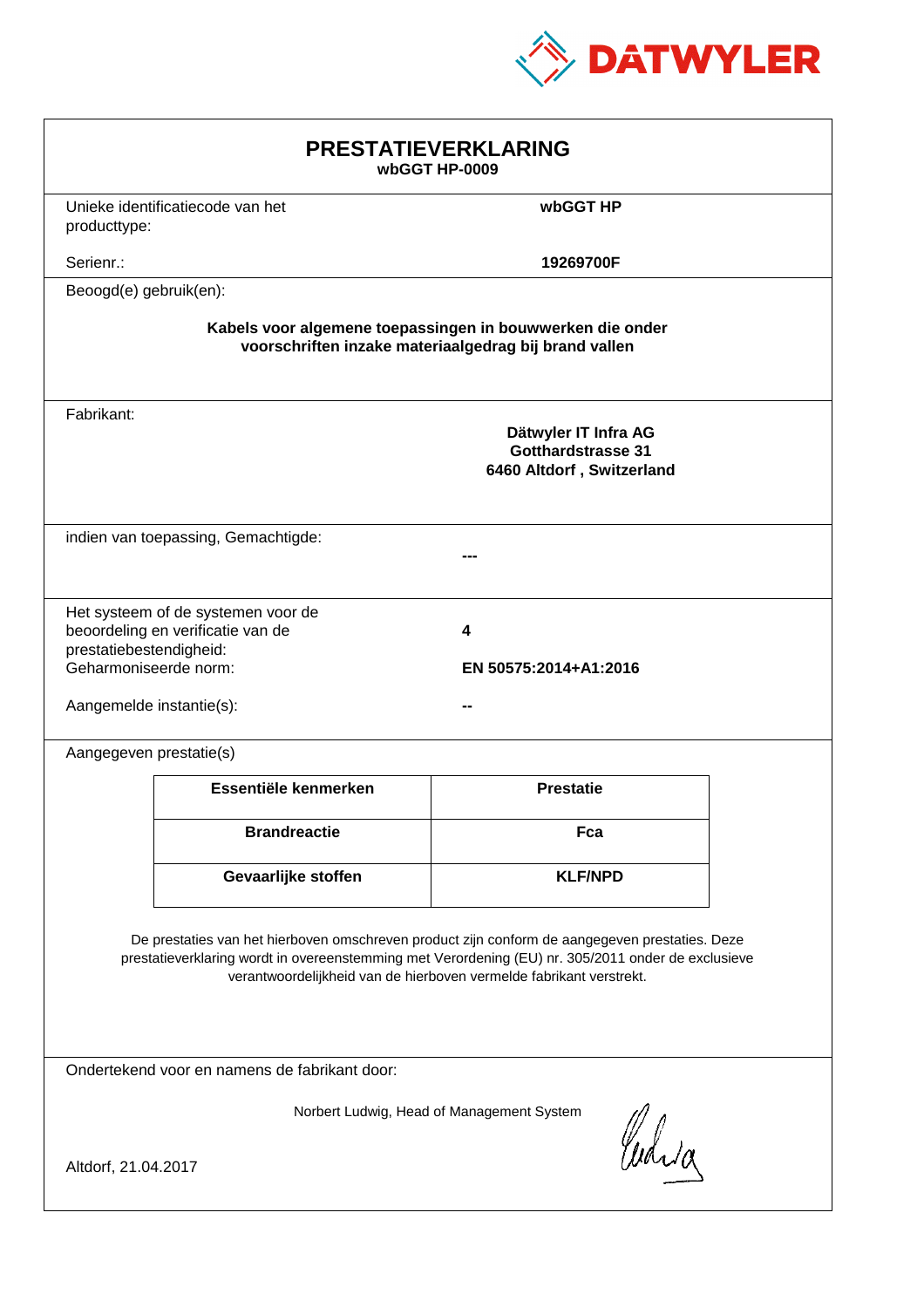

| <b>PRESTATIEVERKLARING</b><br>wbGGT HP-0009                                                                                                                                                                                                                                 |                                                                         |                                                                                |  |
|-----------------------------------------------------------------------------------------------------------------------------------------------------------------------------------------------------------------------------------------------------------------------------|-------------------------------------------------------------------------|--------------------------------------------------------------------------------|--|
| producttype:                                                                                                                                                                                                                                                                | Unieke identificatiecode van het                                        | wbGGT HP                                                                       |  |
| Serienr.:                                                                                                                                                                                                                                                                   |                                                                         | 19269700F                                                                      |  |
| Beoogd(e) gebruik(en):                                                                                                                                                                                                                                                      |                                                                         |                                                                                |  |
| Kabels voor algemene toepassingen in bouwwerken die onder<br>voorschriften inzake materiaalgedrag bij brand vallen                                                                                                                                                          |                                                                         |                                                                                |  |
| Fabrikant:                                                                                                                                                                                                                                                                  |                                                                         | Dätwyler IT Infra AG<br><b>Gotthardstrasse 31</b><br>6460 Altdorf, Switzerland |  |
|                                                                                                                                                                                                                                                                             | indien van toepassing, Gemachtigde:                                     |                                                                                |  |
| prestatiebestendigheid:<br>Geharmoniseerde norm:<br>Aangemelde instantie(s):                                                                                                                                                                                                | Het systeem of de systemen voor de<br>beoordeling en verificatie van de | 4<br>EN 50575:2014+A1:2016                                                     |  |
| Aangegeven prestatie(s)                                                                                                                                                                                                                                                     |                                                                         |                                                                                |  |
|                                                                                                                                                                                                                                                                             | Essentiële kenmerken                                                    | <b>Prestatie</b>                                                               |  |
|                                                                                                                                                                                                                                                                             | <b>Brandreactie</b>                                                     | Fca                                                                            |  |
|                                                                                                                                                                                                                                                                             | Gevaarlijke stoffen                                                     | <b>KLF/NPD</b>                                                                 |  |
| De prestaties van het hierboven omschreven product zijn conform de aangegeven prestaties. Deze<br>prestatieverklaring wordt in overeenstemming met Verordening (EU) nr. 305/2011 onder de exclusieve<br>verantwoordelijkheid van de hierboven vermelde fabrikant verstrekt. |                                                                         |                                                                                |  |
| Ondertekend voor en namens de fabrikant door:                                                                                                                                                                                                                               |                                                                         |                                                                                |  |
| Norbert Ludwig, Head of Management System<br>Curia<br>Altdorf, 21.04.2017                                                                                                                                                                                                   |                                                                         |                                                                                |  |
|                                                                                                                                                                                                                                                                             |                                                                         |                                                                                |  |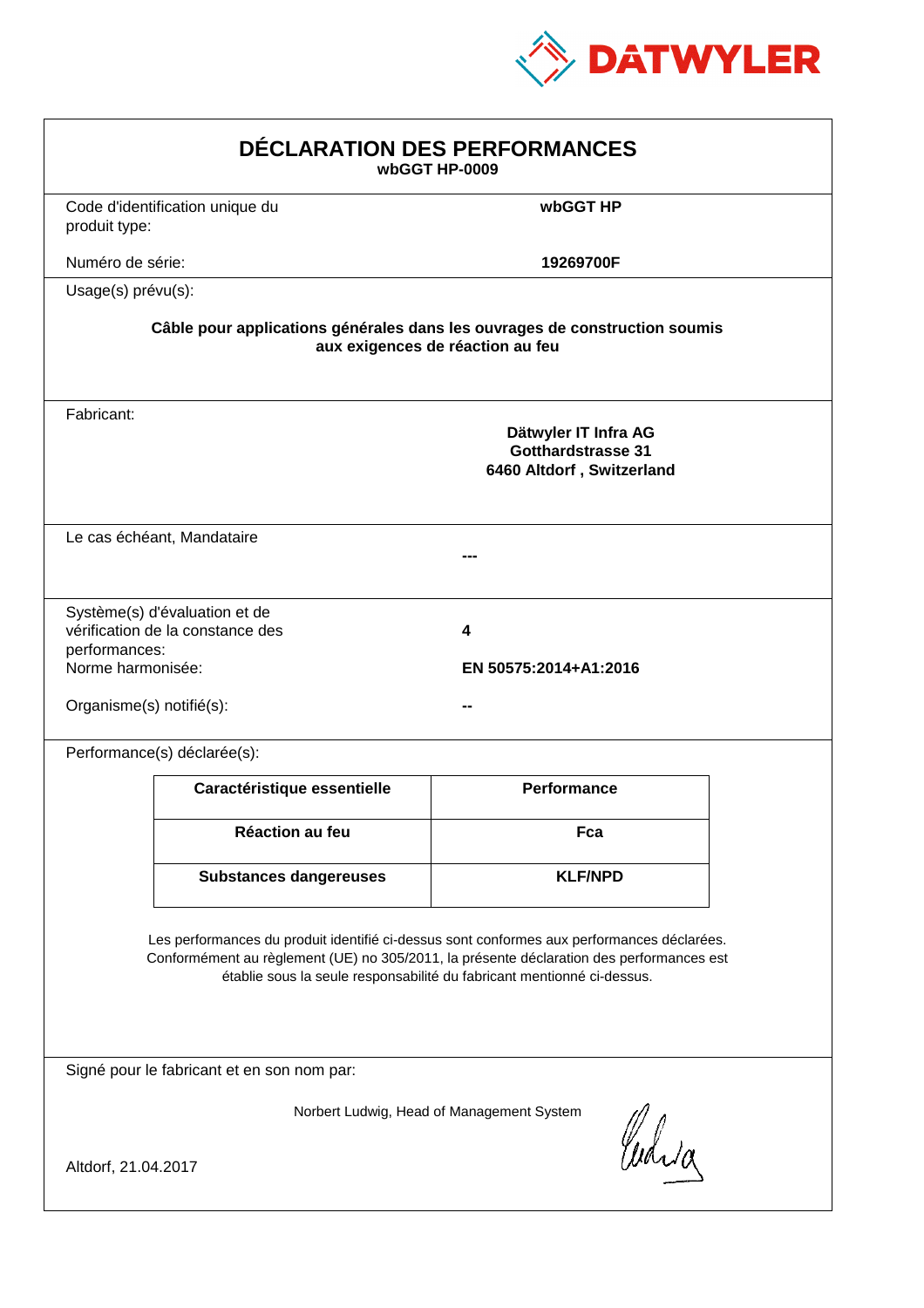

| DÉCLARATION DES PERFORMANCES<br>wbGGT HP-0009                                                                                                                                                                                                                    |                                                                                                                |                                                                                |  |  |
|------------------------------------------------------------------------------------------------------------------------------------------------------------------------------------------------------------------------------------------------------------------|----------------------------------------------------------------------------------------------------------------|--------------------------------------------------------------------------------|--|--|
| produit type:                                                                                                                                                                                                                                                    | Code d'identification unique du                                                                                | wbGGT HP                                                                       |  |  |
| Numéro de série:                                                                                                                                                                                                                                                 |                                                                                                                | 19269700F                                                                      |  |  |
| Usage(s) prévu(s):                                                                                                                                                                                                                                               |                                                                                                                |                                                                                |  |  |
|                                                                                                                                                                                                                                                                  | Câble pour applications générales dans les ouvrages de construction soumis<br>aux exigences de réaction au feu |                                                                                |  |  |
| Fabricant:                                                                                                                                                                                                                                                       |                                                                                                                | Dätwyler IT Infra AG<br><b>Gotthardstrasse 31</b><br>6460 Altdorf, Switzerland |  |  |
|                                                                                                                                                                                                                                                                  | Le cas échéant, Mandataire                                                                                     |                                                                                |  |  |
| performances:<br>Norme harmonisée:<br>Organisme(s) notifié(s):                                                                                                                                                                                                   | Système(s) d'évaluation et de<br>vérification de la constance des                                              | 4<br>EN 50575:2014+A1:2016                                                     |  |  |
|                                                                                                                                                                                                                                                                  | Performance(s) déclarée(s):                                                                                    |                                                                                |  |  |
|                                                                                                                                                                                                                                                                  | Caractéristique essentielle                                                                                    | <b>Performance</b>                                                             |  |  |
|                                                                                                                                                                                                                                                                  | <b>Réaction au feu</b>                                                                                         | Fca                                                                            |  |  |
|                                                                                                                                                                                                                                                                  | <b>Substances dangereuses</b>                                                                                  | <b>KLF/NPD</b>                                                                 |  |  |
| Les performances du produit identifié ci-dessus sont conformes aux performances déclarées.<br>Conformément au règlement (UE) no 305/2011, la présente déclaration des performances est<br>établie sous la seule responsabilité du fabricant mentionné ci-dessus. |                                                                                                                |                                                                                |  |  |
|                                                                                                                                                                                                                                                                  | Signé pour le fabricant et en son nom par:                                                                     |                                                                                |  |  |
| Altdorf, 21.04.2017                                                                                                                                                                                                                                              |                                                                                                                | Norbert Ludwig, Head of Management System<br>Curia                             |  |  |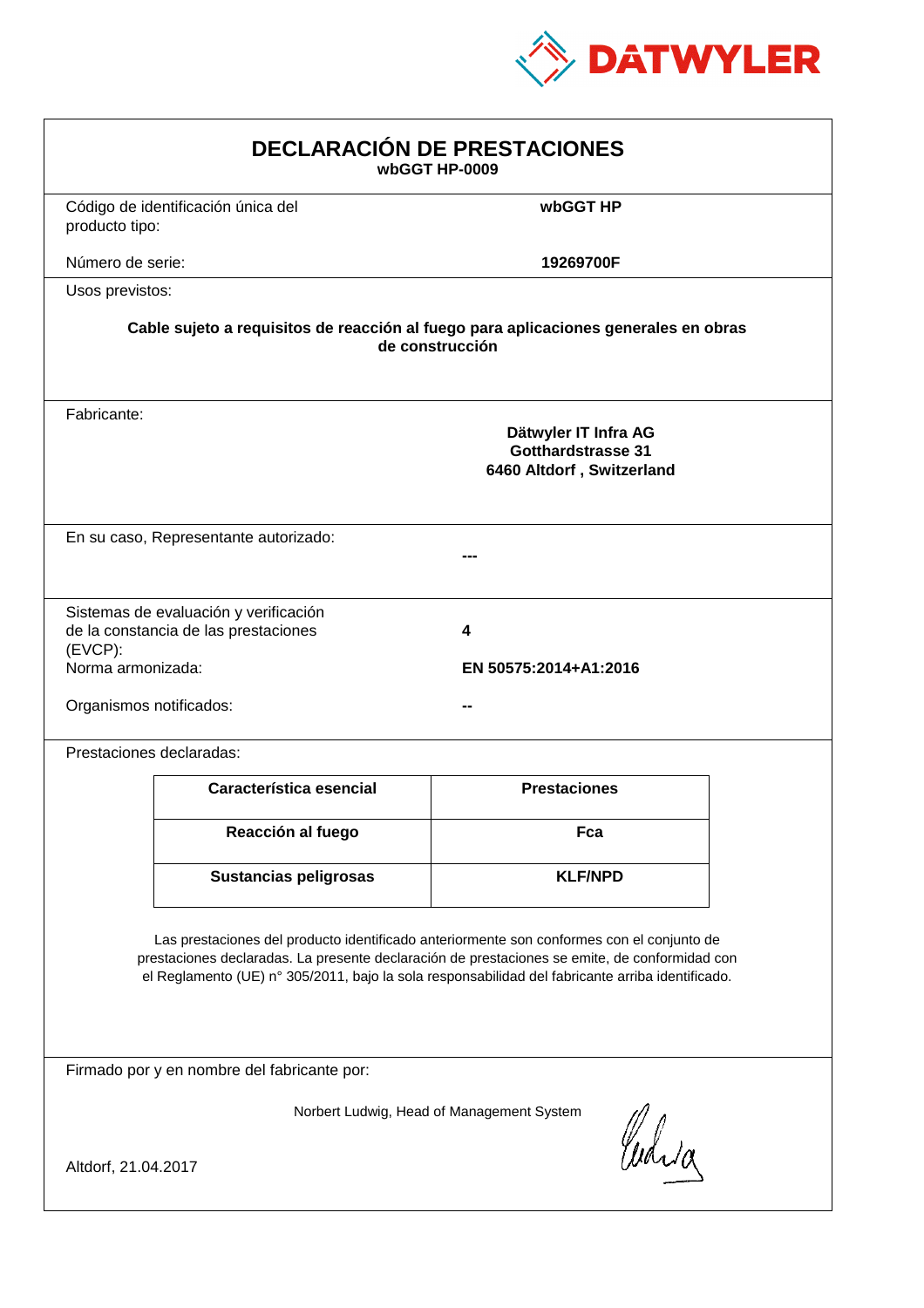

| <b>DECLARACIÓN DE PRESTACIONES</b><br>wbGGT HP-0009                                                                                                                                                                                                                                            |                                                                                |                     |  |
|------------------------------------------------------------------------------------------------------------------------------------------------------------------------------------------------------------------------------------------------------------------------------------------------|--------------------------------------------------------------------------------|---------------------|--|
| producto tipo:                                                                                                                                                                                                                                                                                 | Código de identificación única del                                             | wbGGT HP            |  |
| Número de serie:                                                                                                                                                                                                                                                                               |                                                                                | 19269700F           |  |
| Usos previstos:                                                                                                                                                                                                                                                                                |                                                                                |                     |  |
| Cable sujeto a requisitos de reacción al fuego para aplicaciones generales en obras<br>de construcción                                                                                                                                                                                         |                                                                                |                     |  |
| Fabricante:                                                                                                                                                                                                                                                                                    | Dätwyler IT Infra AG<br><b>Gotthardstrasse 31</b><br>6460 Altdorf, Switzerland |                     |  |
|                                                                                                                                                                                                                                                                                                | En su caso, Representante autorizado:                                          |                     |  |
| Sistemas de evaluación y verificación<br>de la constancia de las prestaciones<br>4<br>$(EVCP)$ :<br>Norma armonizada:<br>EN 50575:2014+A1:2016<br>Organismos notificados:                                                                                                                      |                                                                                |                     |  |
|                                                                                                                                                                                                                                                                                                | Prestaciones declaradas:                                                       |                     |  |
|                                                                                                                                                                                                                                                                                                | Característica esencial                                                        | <b>Prestaciones</b> |  |
|                                                                                                                                                                                                                                                                                                | Reacción al fuego                                                              | Fca                 |  |
|                                                                                                                                                                                                                                                                                                | Sustancias peligrosas                                                          | <b>KLF/NPD</b>      |  |
| Las prestaciones del producto identificado anteriormente son conformes con el conjunto de<br>prestaciones declaradas. La presente declaración de prestaciones se emite, de conformidad con<br>el Reglamento (UE) nº 305/2011, bajo la sola responsabilidad del fabricante arriba identificado. |                                                                                |                     |  |
| Firmado por y en nombre del fabricante por:                                                                                                                                                                                                                                                    |                                                                                |                     |  |
| Norbert Ludwig, Head of Management System<br>Curia<br>Altdorf, 21.04.2017                                                                                                                                                                                                                      |                                                                                |                     |  |